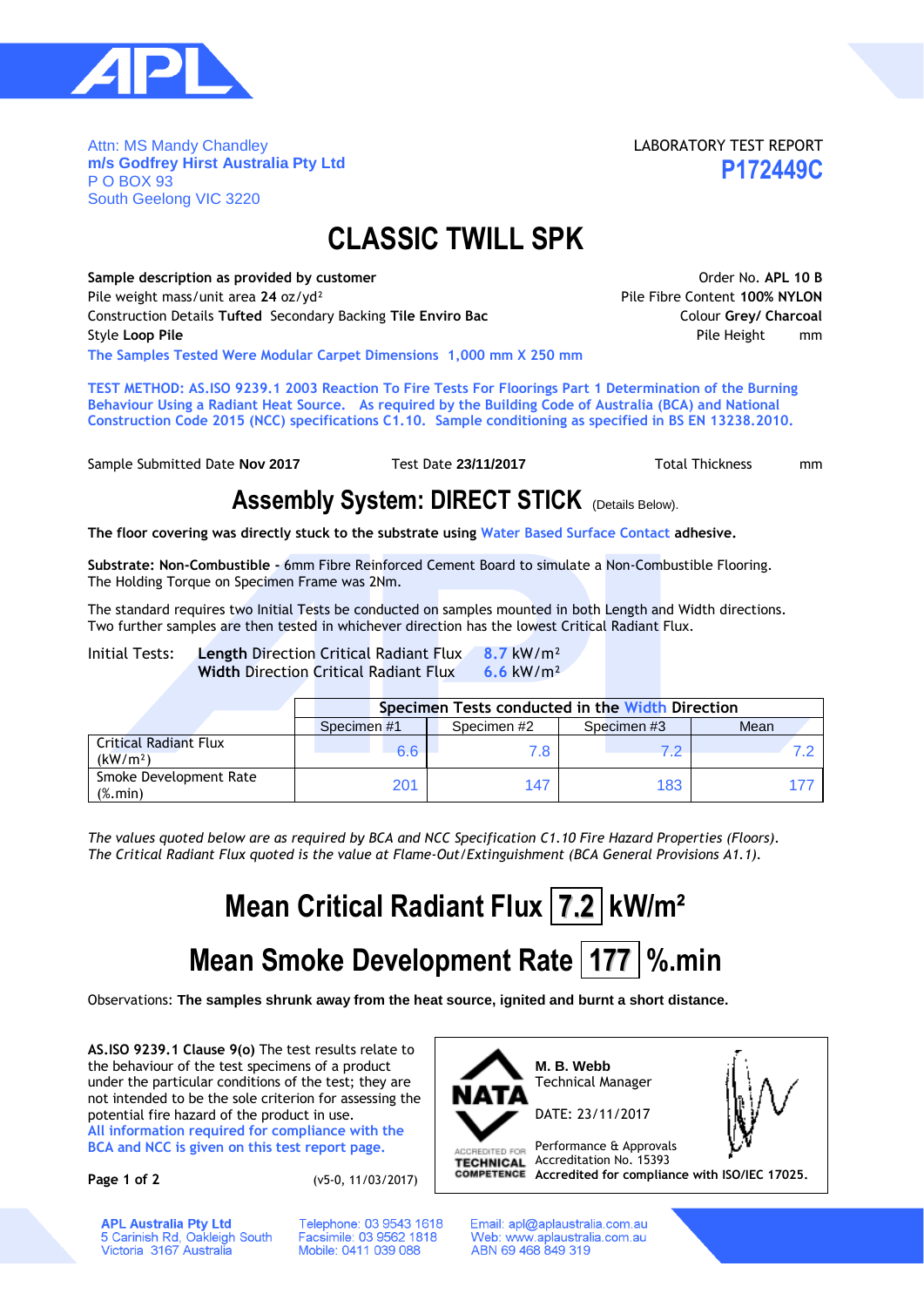

Attn: MS Mandy Chandley **m/s Godfrey Hirst Australia Pty Ltd** P O BOX 93 South Geelong VIC 3220

LABORATORY TEST REPORT **P172449C**

### **CLASSIC TWILL SPK**

Sample description as provided by customer **ACC COVID-10 B** And Covid-10 B Order No. APL 10 B Pile weight mass/unit area **24** oz/yd² Pile Fibre Content **100% NYLON** Construction Details **Tufted** Secondary Backing **Tile Enviro Bac** Colour **Grey/ Charcoal Style Loop Pile Pile Height mm The Samples Tested Were Modular Carpet Dimensions 1,000 mm X 250 mm**

**TEST METHOD: AS.ISO 9239.1 2003 Reaction To Fire Tests For Floorings Part 1 Determination of the Burning Behaviour Using a Radiant Heat Source. As required by the Building Code of Australia (BCA) and National Construction Code 2015 (NCC) specifications C1.10. Sample conditioning as specified in BS EN 13238.2010.**

Sample Submitted Date **Nov 2017** Test Date 23/11/2017 Total Thickness mm

#### **Assembly System: DIRECT STICK** (Details Below).

**The floor covering was directly stuck to the substrate using Water Based Surface Contact adhesive.**

**Substrate: Non-Combustible -** 6mm Fibre Reinforced Cement Board to simulate a Non-Combustible Flooring. The Holding Torque on Specimen Frame was 2Nm.

The standard requires two Initial Tests be conducted on samples mounted in both Length and Width directions. Two further samples are then tested in whichever direction has the lowest Critical Radiant Flux.

Initial Tests: **Length** Direction Critical Radiant Flux **8.7** kW/m² **Width** Direction Critical Radiant Flux **6.6** kW/m²

|                                                          | Specimen Tests conducted in the Width Direction |            |             |      |  |  |  |  |  |  |
|----------------------------------------------------------|-------------------------------------------------|------------|-------------|------|--|--|--|--|--|--|
|                                                          | Specimen #1                                     | Specimen#2 | Specimen #3 | Mean |  |  |  |  |  |  |
| <b>Critical Radiant Flux</b><br>(kW/m <sup>2</sup> )     | 6.6                                             | 7.8        |             |      |  |  |  |  |  |  |
| Smoke Development Rate<br>$(% \mathcal{L}_{0})$ (%. min) | 201                                             | 147        | 183         |      |  |  |  |  |  |  |

*The values quoted below are as required by BCA and NCC Specification C1.10 Fire Hazard Properties (Floors). The Critical Radiant Flux quoted is the value at Flame-Out/Extinguishment (BCA General Provisions A1.1).*

# **Mean Critical Radiant Flux 7.2 kW/m²**

## **Mean Smoke Development Rate 177 %.min**

Observations: **The samples shrunk away from the heat source, ignited and burnt a short distance.**

**AS.ISO 9239.1 Clause 9(o)** The test results relate to the behaviour of the test specimens of a product under the particular conditions of the test; they are not intended to be the sole criterion for assessing the potential fire hazard of the product in use.

**All information required for compliance with the BCA and NCC is given on this test report page.**

**Page 1 of 2** (v5-0, 11/03/2017)

Telephone: 03 9543 1618

Facsimile: 03 9562 1818

Mobile: 0411 039 088



Email: apl@aplaustralia.com.au Web: www.aplaustralia.com.au ABN 69 468 849 319